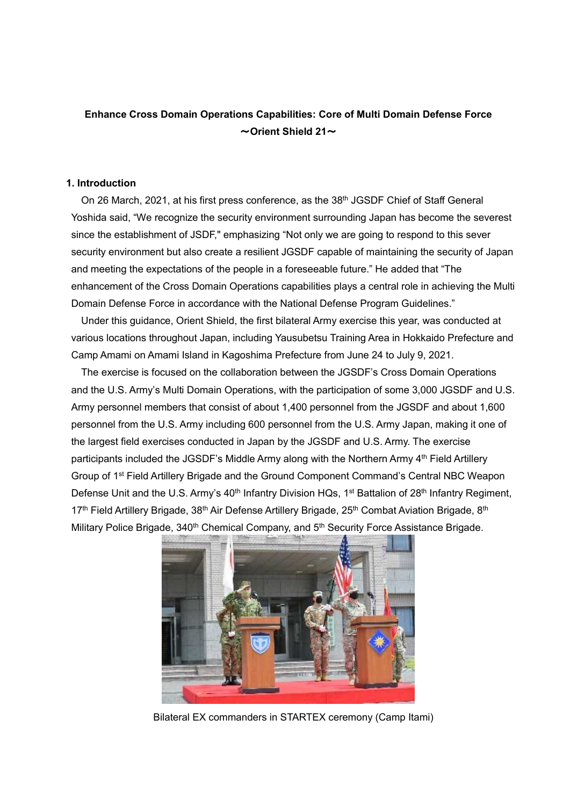### **Enhance Cross Domain Operations Capabilities: Core of Multi Domain Defense Force** ~**Orient Shield 21**~

#### **1. Introduction**

On 26 March, 2021, at his first press conference, as the 38<sup>th</sup> JGSDF Chief of Staff General Yoshida said, "We recognize the security environment surrounding Japan has become the severest since the establishment of JSDF," emphasizing "Not only we are going to respond to this sever security environment but also create a resilient JGSDF capable of maintaining the security of Japan and meeting the expectations of the people in a foreseeable future." He added that "The enhancement of the Cross Domain Operations capabilities plays a central role in achieving the Multi Domain Defense Force in accordance with the National Defense Program Guidelines."

Under this guidance, Orient Shield, the first bilateral Army exercise this year, was conducted at various locations throughout Japan, including Yausubetsu Training Area in Hokkaido Prefecture and Camp Amami on Amami Island in Kagoshima Prefecture from June 24 to July 9, 2021.

The exercise is focused on the collaboration between the JGSDF's Cross Domain Operations and the U.S. Army's Multi Domain Operations, with the participation of some 3,000 JGSDF and U.S. Army personnel members that consist of about 1,400 personnel from the JGSDF and about 1,600 personnel from the U.S. Army including 600 personnel from the U.S. Army Japan, making it one of the largest field exercises conducted in Japan by the JGSDF and U.S. Army. The exercise participants included the JGSDF's Middle Army along with the Northern Army 4<sup>th</sup> Field Artillery Group of 1<sup>st</sup> Field Artillery Brigade and the Ground Component Command's Central NBC Weapon Defense Unit and the U.S. Army's 40<sup>th</sup> Infantry Division HQs, 1<sup>st</sup> Battalion of 28<sup>th</sup> Infantry Regiment, 17<sup>th</sup> Field Artillery Brigade, 38<sup>th</sup> Air Defense Artillery Brigade, 25<sup>th</sup> Combat Aviation Brigade, 8<sup>th</sup> Military Police Brigade, 340<sup>th</sup> Chemical Company, and 5<sup>th</sup> Security Force Assistance Brigade.



Bilateral EX commanders in STARTEX ceremony (Camp Itami)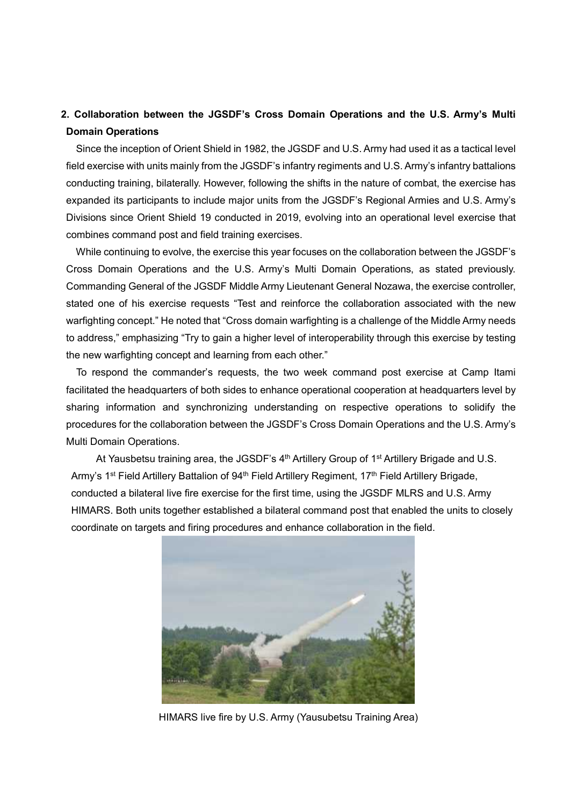# **2. Collaboration between the JGSDF's Cross Domain Operations and the U.S. Army's Multi Domain Operations**

Since the inception of Orient Shield in 1982, the JGSDF and U.S. Army had used it as a tactical level field exercise with units mainly from the JGSDF's infantry regiments and U.S.Army's infantry battalions conducting training, bilaterally. However, following the shifts in the nature of combat, the exercise has expanded its participants to include major units from the JGSDF's Regional Armies and U.S. Army's Divisions since Orient Shield 19 conducted in 2019, evolving into an operational level exercise that combines command post and field training exercises.

While continuing to evolve, the exercise this year focuses on the collaboration between the JGSDF's Cross Domain Operations and the U.S. Army's Multi Domain Operations, as stated previously. Commanding General of the JGSDF Middle Army Lieutenant General Nozawa, the exercise controller, stated one of his exercise requests "Test and reinforce the collaboration associated with the new warfighting concept." He noted that "Cross domain warfighting is a challenge of the Middle Army needs to address," emphasizing "Try to gain a higher level of interoperability through this exercise by testing the new warfighting concept and learning from each other."

To respond the commander's requests, the two week command post exercise at Camp Itami facilitated the headquarters of both sides to enhance operational cooperation at headquarters level by sharing information and synchronizing understanding on respective operations to solidify the procedures for the collaboration between the JGSDF's Cross Domain Operations and the U.S. Army's Multi Domain Operations.

At Yausbetsu training area, the JGSDF's 4<sup>th</sup> Artillery Group of 1<sup>st</sup> Artillery Brigade and U.S. Army's 1<sup>st</sup> Field Artillery Battalion of 94<sup>th</sup> Field Artillery Regiment, 17<sup>th</sup> Field Artillery Brigade, conducted a bilateral live fire exercise for the first time, using the JGSDF MLRS and U.S. Army HIMARS. Both units together established a bilateral command post that enabled the units to closely coordinate on targets and firing procedures and enhance collaboration in the field.



HIMARS live fire by U.S. Army (Yausubetsu Training Area)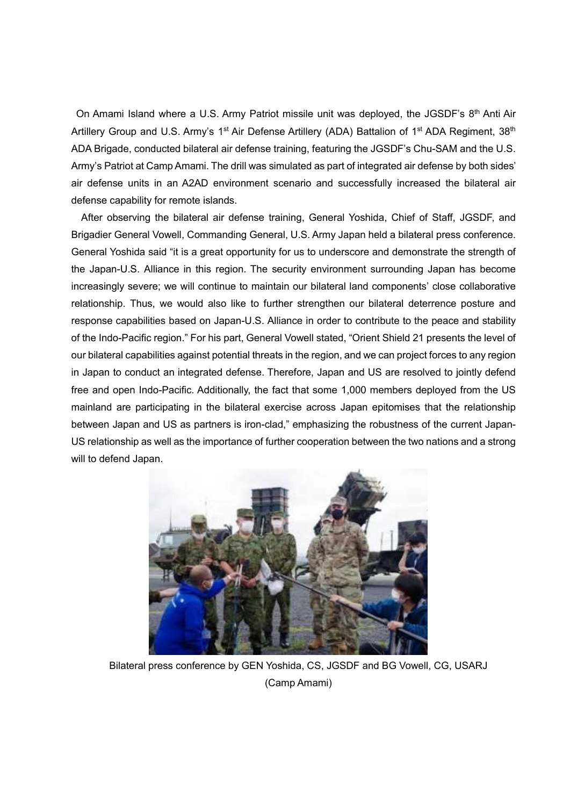On Amami Island where a U.S. Army Patriot missile unit was deployed, the JGSDF's 8<sup>th</sup> Anti Air Artillery Group and U.S. Army's 1<sup>st</sup> Air Defense Artillery (ADA) Battalion of 1<sup>st</sup> ADA Regiment, 38<sup>th</sup> ADA Brigade, conducted bilateral air defense training, featuring the JGSDF's Chu-SAM and the U.S. Army's Patriot at Camp Amami. The drill was simulated as part of integrated air defense by both sides' air defense units in an A2AD environment scenario and successfully increased the bilateral air defense capability for remote islands.

After observing the bilateral air defense training, General Yoshida, Chief of Staff, JGSDF, and Brigadier General Vowell, Commanding General, U.S. Army Japan held a bilateral press conference. General Yoshida said "it is a great opportunity for us to underscore and demonstrate the strength of the Japan-U.S. Alliance in this region. The security environment surrounding Japan has become increasingly severe; we will continue to maintain our bilateral land components' close collaborative relationship. Thus, we would also like to further strengthen our bilateral deterrence posture and response capabilities based on Japan-U.S. Alliance in order to contribute to the peace and stability of the Indo-Pacific region." For his part, General Vowell stated, "Orient Shield 21 presents the level of our bilateral capabilities against potential threats in the region, and we can project forces to any region in Japan to conduct an integrated defense. Therefore, Japan and US are resolved to jointly defend free and open Indo-Pacific. Additionally, the fact that some 1,000 members deployed from the US mainland are participating in the bilateral exercise across Japan epitomises that the relationship between Japan and US as partners is iron-clad," emphasizing the robustness of the current Japan-US relationship as well as the importance of further cooperation between the two nations and a strong will to defend Japan.



Bilateral press conference by GEN Yoshida, CS, JGSDF and BG Vowell, CG, USARJ (Camp Amami)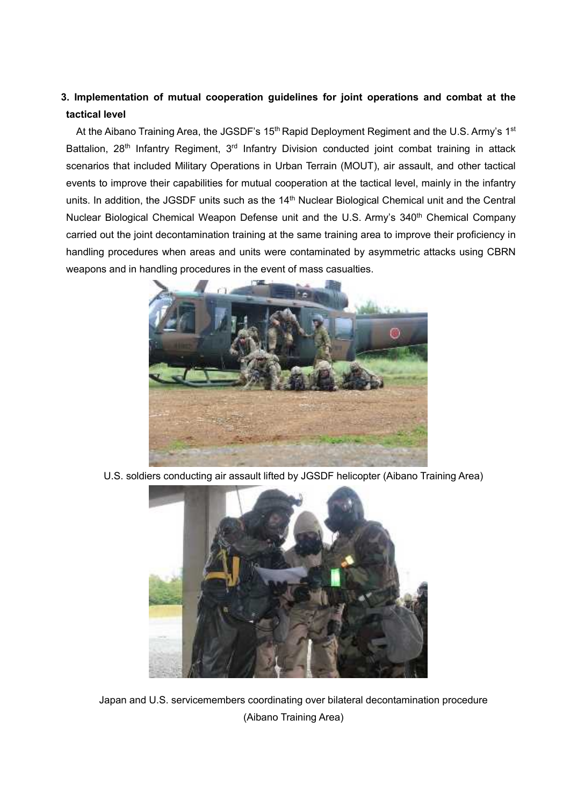# **3. Implementation of mutual cooperation guidelines for joint operations and combat at the tactical level**

At the Aibano Training Area, the JGSDF's 15<sup>th</sup> Rapid Deployment Regiment and the U.S. Army's 1<sup>st</sup> Battalion, 28<sup>th</sup> Infantry Regiment, 3<sup>rd</sup> Infantry Division conducted joint combat training in attack scenarios that included Military Operations in Urban Terrain (MOUT), air assault, and other tactical events to improve their capabilities for mutual cooperation at the tactical level, mainly in the infantry units. In addition, the JGSDF units such as the 14<sup>th</sup> Nuclear Biological Chemical unit and the Central Nuclear Biological Chemical Weapon Defense unit and the U.S. Army's 340<sup>th</sup> Chemical Company carried out the joint decontamination training at the same training area to improve their proficiency in handling procedures when areas and units were contaminated by asymmetric attacks using CBRN weapons and in handling procedures in the event of mass casualties.



U.S. soldiers conducting air assault lifted by JGSDF helicopter (Aibano Training Area)



Japan and U.S. servicemembers coordinating over bilateral decontamination procedure (Aibano Training Area)